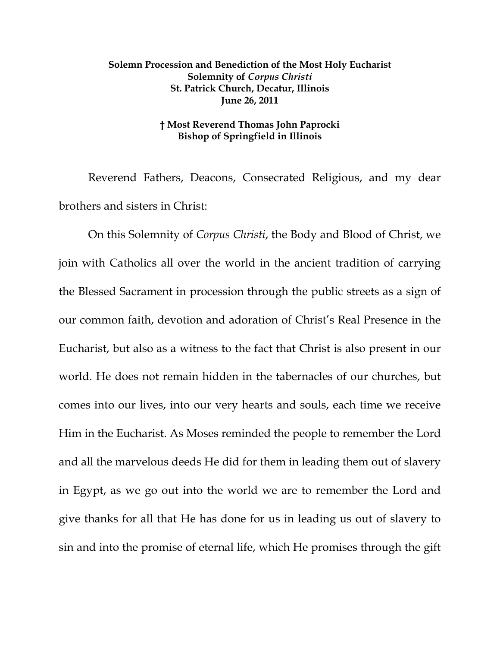## **Solemn Procession and Benediction of the Most Holy Eucharist Solemnity of** *Corpus Christi* **St. Patrick Church, Decatur, Illinois June 26, 2011**

## **† Most Reverend Thomas John Paprocki Bishop of Springfield in Illinois**

Reverend Fathers, Deacons, Consecrated Religious, and my dear brothers and sisters in Christ:

 On this Solemnity of *Corpus Christi*, the Body and Blood of Christ, we join with Catholics all over the world in the ancient tradition of carrying the Blessed Sacrament in procession through the public streets as a sign of our common faith, devotion and adoration of Christ's Real Presence in the Eucharist, but also as a witness to the fact that Christ is also present in our world. He does not remain hidden in the tabernacles of our churches, but comes into our lives, into our very hearts and souls, each time we receive Him in the Eucharist. As Moses reminded the people to remember the Lord and all the marvelous deeds He did for them in leading them out of slavery in Egypt, as we go out into the world we are to remember the Lord and give thanks for all that He has done for us in leading us out of slavery to sin and into the promise of eternal life, which He promises through the gift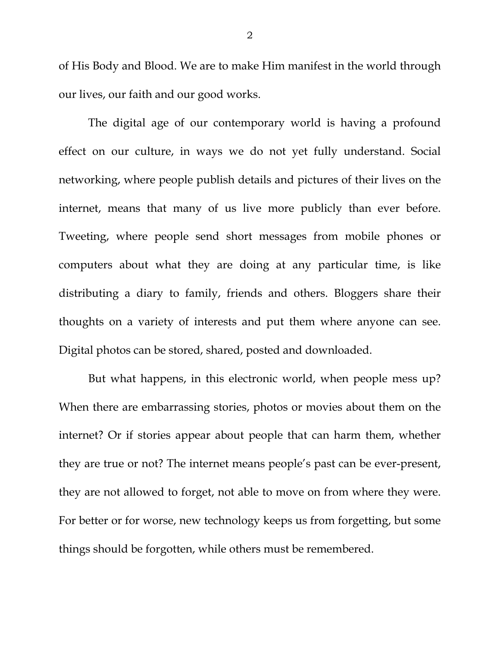of His Body and Blood. We are to make Him manifest in the world through our lives, our faith and our good works.

The digital age of our contemporary world is having a profound effect on our culture, in ways we do not yet fully understand. Social networking, where people publish details and pictures of their lives on the internet, means that many of us live more publicly than ever before. Tweeting, where people send short messages from mobile phones or computers about what they are doing at any particular time, is like distributing a diary to family, friends and others. Bloggers share their thoughts on a variety of interests and put them where anyone can see. Digital photos can be stored, shared, posted and downloaded.

But what happens, in this electronic world, when people mess up? When there are embarrassing stories, photos or movies about them on the internet? Or if stories appear about people that can harm them, whether they are true or not? The internet means people's past can be ever-present, they are not allowed to forget, not able to move on from where they were. For better or for worse, new technology keeps us from forgetting, but some things should be forgotten, while others must be remembered.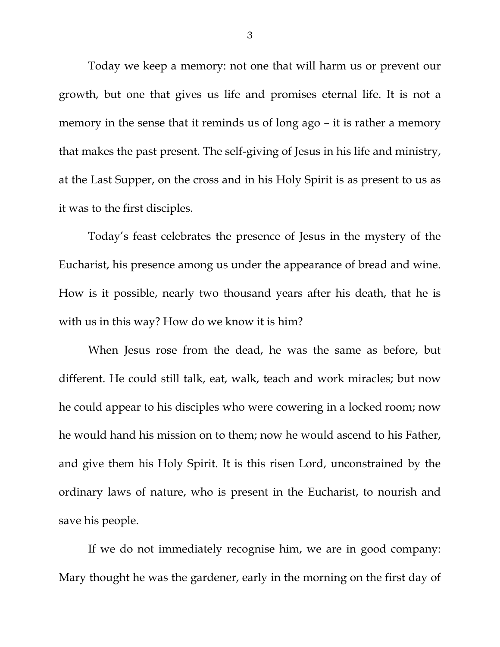Today we keep a memory: not one that will harm us or prevent our growth, but one that gives us life and promises eternal life. It is not a memory in the sense that it reminds us of long ago – it is rather a memory that makes the past present. The self-giving of Jesus in his life and ministry, at the Last Supper, on the cross and in his Holy Spirit is as present to us as it was to the first disciples.

Today's feast celebrates the presence of Jesus in the mystery of the Eucharist, his presence among us under the appearance of bread and wine. How is it possible, nearly two thousand years after his death, that he is with us in this way? How do we know it is him?

When Jesus rose from the dead, he was the same as before, but different. He could still talk, eat, walk, teach and work miracles; but now he could appear to his disciples who were cowering in a locked room; now he would hand his mission on to them; now he would ascend to his Father, and give them his Holy Spirit. It is this risen Lord, unconstrained by the ordinary laws of nature, who is present in the Eucharist, to nourish and save his people.

If we do not immediately recognise him, we are in good company: Mary thought he was the gardener, early in the morning on the first day of

3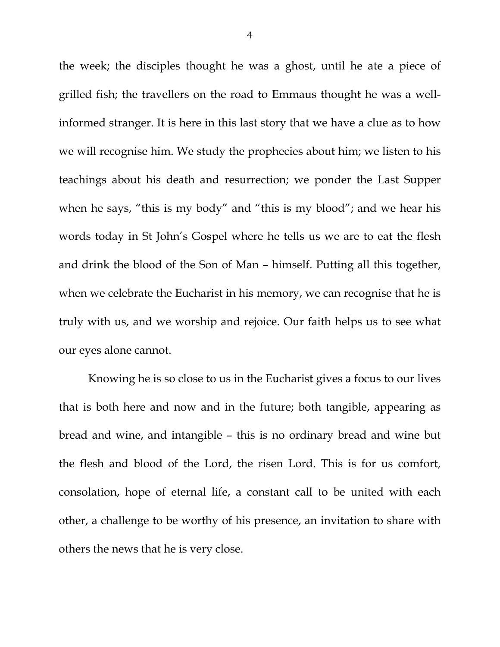the week; the disciples thought he was a ghost, until he ate a piece of grilled fish; the travellers on the road to Emmaus thought he was a wellinformed stranger. It is here in this last story that we have a clue as to how we will recognise him. We study the prophecies about him; we listen to his teachings about his death and resurrection; we ponder the Last Supper when he says, "this is my body" and "this is my blood"; and we hear his words today in St John's Gospel where he tells us we are to eat the flesh and drink the blood of the Son of Man – himself. Putting all this together, when we celebrate the Eucharist in his memory, we can recognise that he is truly with us, and we worship and rejoice. Our faith helps us to see what our eyes alone cannot.

Knowing he is so close to us in the Eucharist gives a focus to our lives that is both here and now and in the future; both tangible, appearing as bread and wine, and intangible – this is no ordinary bread and wine but the flesh and blood of the Lord, the risen Lord. This is for us comfort, consolation, hope of eternal life, a constant call to be united with each other, a challenge to be worthy of his presence, an invitation to share with others the news that he is very close.